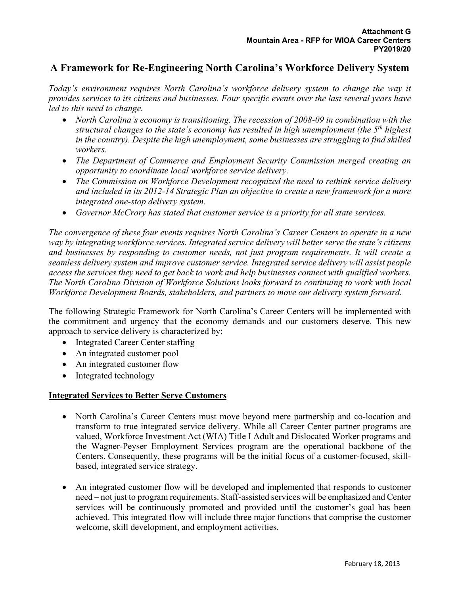# **A Framework for Re-Engineering North Carolina's Workforce Delivery System**

*Today's environment requires North Carolina's workforce delivery system to change the way it provides services to its citizens and businesses. Four specific events over the last several years have led to this need to change.*

- *North Carolina's economy is transitioning. The recession of 2008-09 in combination with the structural changes to the state's economy has resulted in high unemployment (the 5th highest in the country). Despite the high unemployment, some businesses are struggling to find skilled workers.*
- *The Department of Commerce and Employment Security Commission merged creating an opportunity to coordinate local workforce service delivery.*
- *The Commission on Workforce Development recognized the need to rethink service delivery and included in its 2012-14 Strategic Plan an objective to create a new framework for a more integrated one-stop delivery system.*
- *Governor McCrory has stated that customer service is a priority for all state services.*

*The convergence of these four events requires North Carolina's Career Centers to operate in a new way by integrating workforce services. Integrated service delivery will better serve the state's citizens and businesses by responding to customer needs, not just program requirements. It will create a seamless delivery system and improve customer service. Integrated service delivery will assist people access the services they need to get back to work and help businesses connect with qualified workers. The North Carolina Division of Workforce Solutions looks forward to continuing to work with local Workforce Development Boards, stakeholders, and partners to move our delivery system forward.*

The following Strategic Framework for North Carolina's Career Centers will be implemented with the commitment and urgency that the economy demands and our customers deserve. This new approach to service delivery is characterized by:

- Integrated Career Center staffing
- An integrated customer pool
- An integrated customer flow
- Integrated technology

## **Integrated Services to Better Serve Customers**

- North Carolina's Career Centers must move beyond mere partnership and co-location and transform to true integrated service delivery. While all Career Center partner programs are valued, Workforce Investment Act (WIA) Title I Adult and Dislocated Worker programs and the Wagner-Peyser Employment Services program are the operational backbone of the Centers. Consequently, these programs will be the initial focus of a customer-focused, skillbased, integrated service strategy.
- An integrated customer flow will be developed and implemented that responds to customer need – not just to program requirements. Staff-assisted services will be emphasized and Center services will be continuously promoted and provided until the customer's goal has been achieved. This integrated flow will include three major functions that comprise the customer welcome, skill development, and employment activities.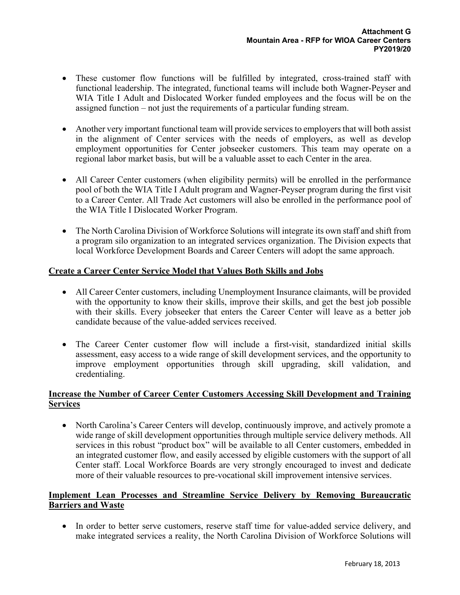- These customer flow functions will be fulfilled by integrated, cross-trained staff with functional leadership. The integrated, functional teams will include both Wagner-Peyser and WIA Title I Adult and Dislocated Worker funded employees and the focus will be on the assigned function – not just the requirements of a particular funding stream.
- Another very important functional team will provide services to employers that will both assist in the alignment of Center services with the needs of employers, as well as develop employment opportunities for Center jobseeker customers. This team may operate on a regional labor market basis, but will be a valuable asset to each Center in the area.
- All Career Center customers (when eligibility permits) will be enrolled in the performance pool of both the WIA Title I Adult program and Wagner-Peyser program during the first visit to a Career Center. All Trade Act customers will also be enrolled in the performance pool of the WIA Title I Dislocated Worker Program.
- The North Carolina Division of Workforce Solutions will integrate its own staff and shift from a program silo organization to an integrated services organization. The Division expects that local Workforce Development Boards and Career Centers will adopt the same approach.

# **Create a Career Center Service Model that Values Both Skills and Jobs**

- All Career Center customers, including Unemployment Insurance claimants, will be provided with the opportunity to know their skills, improve their skills, and get the best job possible with their skills. Every jobseeker that enters the Career Center will leave as a better job candidate because of the value-added services received.
- The Career Center customer flow will include a first-visit, standardized initial skills assessment, easy access to a wide range of skill development services, and the opportunity to improve employment opportunities through skill upgrading, skill validation, and credentialing.

# **Increase the Number of Career Center Customers Accessing Skill Development and Training Services**

• North Carolina's Career Centers will develop, continuously improve, and actively promote a wide range of skill development opportunities through multiple service delivery methods. All services in this robust "product box" will be available to all Center customers, embedded in an integrated customer flow, and easily accessed by eligible customers with the support of all Center staff. Local Workforce Boards are very strongly encouraged to invest and dedicate more of their valuable resources to pre-vocational skill improvement intensive services.

#### **Implement Lean Processes and Streamline Service Delivery by Removing Bureaucratic Barriers and Waste**

• In order to better serve customers, reserve staff time for value-added service delivery, and make integrated services a reality, the North Carolina Division of Workforce Solutions will